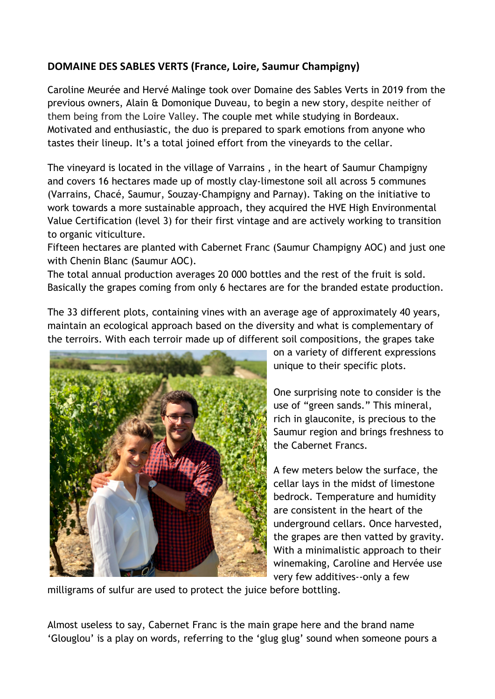## **DOMAINE DES SABLES VERTS (France, Loire, Saumur Champigny)**

Caroline Meurée and Hervé Malinge took over Domaine des Sables Verts in 2019 from the previous owners, Alain & Domonique Duveau, to begin a new story, despite neither of them being from the Loire Valley. The couple met while studying in Bordeaux. Motivated and enthusiastic, the duo is prepared to spark emotions from anyone who tastes their lineup. It's a total joined effort from the vineyards to the cellar.

The vineyard is located in the village of Varrains , in the heart of Saumur Champigny and covers 16 hectares made up of mostly clay-limestone soil all across 5 communes (Varrains, Chacé, Saumur, Souzay-Champigny and Parnay). Taking on the initiative to work towards a more sustainable approach, they acquired the HVE High Environmental Value Certification (level 3) for their first vintage and are actively working to transition to organic viticulture.

Fifteen hectares are planted with Cabernet Franc (Saumur Champigny AOC) and just one with Chenin Blanc (Saumur AOC).

The total annual production averages 20 000 bottles and the rest of the fruit is sold. Basically the grapes coming from only 6 hectares are for the branded estate production.

The 33 different plots, containing vines with an average age of approximately 40 years, maintain an ecological approach based on the diversity and what is complementary of the terroirs. With each terroir made up of different soil compositions, the grapes take



on a variety of different expressions unique to their specific plots.

One surprising note to consider is the use of "green sands." This mineral, rich in glauconite, is precious to the Saumur region and brings freshness to the Cabernet Francs.

A few meters below the surface, the cellar lays in the midst of limestone bedrock. Temperature and humidity are consistent in the heart of the underground cellars. Once harvested, the grapes are then vatted by gravity. With a minimalistic approach to their winemaking, Caroline and Hervée use very few additives--only a few

milligrams of sulfur are used to protect the juice before bottling.

Almost useless to say, Cabernet Franc is the main grape here and the brand name 'Glouglou' is a play on words, referring to the 'glug glug' sound when someone pours a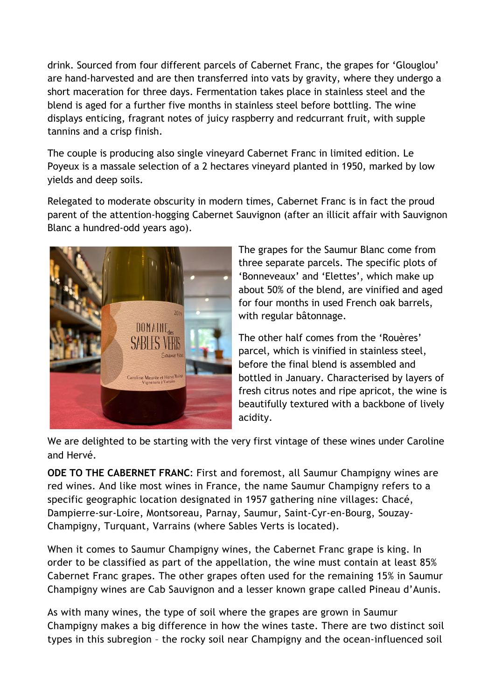drink. Sourced from four different parcels of Cabernet Franc, the grapes for 'Glouglou' are hand-harvested and are then transferred into vats by gravity, where they undergo a short maceration for three days. Fermentation takes place in stainless steel and the blend is aged for a further five months in stainless steel before bottling. The wine displays enticing, fragrant notes of juicy raspberry and redcurrant fruit, with supple tannins and a crisp finish.

The couple is producing also single vineyard Cabernet Franc in limited edition. Le Poyeux is a massale selection of a 2 hectares vineyard planted in 1950, marked by low yields and deep soils.

Relegated to moderate obscurity in modern times, Cabernet Franc is in fact the proud parent of the attention-hogging Cabernet Sauvignon (after an illicit affair with Sauvignon Blanc a hundred-odd years ago).



The grapes for the Saumur Blanc come from three separate parcels. The specific plots of 'Bonneveaux' and 'Elettes', which make up about 50% of the blend, are vinified and aged for four months in used French oak barrels, with regular bâtonnage.

The other half comes from the 'Rouères' parcel, which is vinified in stainless steel, before the final blend is assembled and bottled in January. Characterised by layers of fresh citrus notes and ripe apricot, the wine is beautifully textured with a backbone of lively acidity.

We are delighted to be starting with the very first vintage of these wines under Caroline and Hervé.

**ODE TO THE CABERNET FRANC**: First and foremost, all Saumur Champigny wines are red wines. And like most wines in France, the name Saumur Champigny refers to a specific geographic location designated in 1957 gathering nine villages: Chacé, Dampierre-sur-Loire, Montsoreau, Parnay, Saumur, Saint-Cyr-en-Bourg, Souzay-Champigny, Turquant, Varrains (where Sables Verts is located).

When it comes to Saumur Champigny wines, the Cabernet Franc grape is king. In order to be classified as part of the appellation, the wine must contain at least 85% Cabernet Franc grapes. The other grapes often used for the remaining 15% in Saumur Champigny wines are Cab Sauvignon and a lesser known grape called Pineau d'Aunis.

As with many wines, the type of soil where the grapes are grown in Saumur Champigny makes a big difference in how the wines taste. There are two distinct soil types in this subregion – the rocky soil near Champigny and the ocean-influenced soil